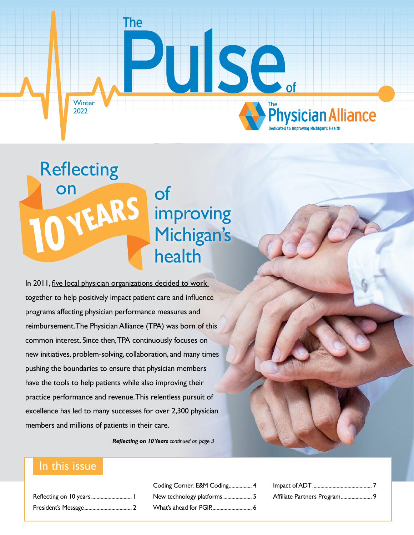<span id="page-0-0"></span>

# of **improving** Michigan's health **Reflecting**

In 2011, five local physician organizations decided to work [together](https://thephysicianalliance.org/about/) to help positively impact patient care and influence programs affecting physician performance measures and reimbursement. The Physician Alliance (TPA) was born of this common interest. Since then, TPA continuously focuses on new initiatives, problem-solving, collaboration, and many times pushing the boundaries to ensure that physician members have the tools to help patients while also improving their practice performance and revenue. This relentless pursuit of excellence has led to many successes for over 2,300 physician members and millions of patients in their care.

*Reflecting on 10 Years [continued on page 3](#page-2-0)*

### In this issue

on

| Reflecting on 10 years 1 |  |
|--------------------------|--|
|                          |  |

[Coding Corner: E&M Coding](#page-3-0)................. 4 [New technology platforms](#page-4-0) ......................... 5 [What's ahead for PGIP.](#page-5-0)............................. 6

| Affiliate Partners Program 9 |  |
|------------------------------|--|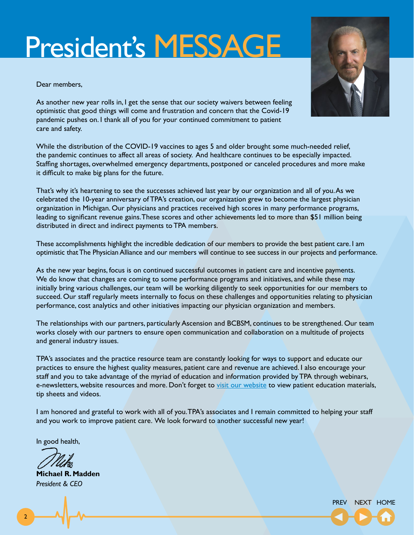# <span id="page-1-0"></span>President's MESSAGE

Dear members,



As another new year rolls in, I get the sense that our society waivers between feeling optimistic that good things will come and frustration and concern that the Covid-19 pandemic pushes on. I thank all of you for your continued commitment to patient care and safety.

While the distribution of the COVID-19 vaccines to ages 5 and older brought some much-needed relief, the pandemic continues to affect all areas of society. And healthcare continues to be especially impacted. Staffing shortages, overwhelmed emergency departments, postponed or canceled procedures and more make it difficult to make big plans for the future.

That's why it's heartening to see the successes achieved last year by our organization and all of you. As we celebrated the 10-year anniversary of TPA's creation, our organization grew to become the largest physician organization in Michigan. Our physicians and practices received high scores in many performance programs, leading to significant revenue gains. These scores and other achievements led to more than \$51 million being distributed in direct and indirect payments to TPA members.

These accomplishments highlight the incredible dedication of our members to provide the best patient care. I am optimistic that The Physician Alliance and our members will continue to see success in our projects and performance.

As the new year begins, focus is on continued successful outcomes in patient care and incentive payments. We do know that changes are coming to some performance programs and initiatives, and while these may initially bring various challenges, our team will be working diligently to seek opportunities for our members to succeed. Our staff regularly meets internally to focus on these challenges and opportunities relating to physician performance, cost analytics and other initiatives impacting our physician organization and members.

The relationships with our partners, particularly Ascension and BCBSM, continues to be strengthened. Our team works closely with our partners to ensure open communication and collaboration on a multitude of projects and general industry issues.

TPA's associates and the practice resource team are constantly looking for ways to support and educate our practices to ensure the highest quality measures, patient care and revenue are achieved. I also encourage your staff and you to take advantage of the myriad of education and information provided by TPA through webinars, e-newsletters, website resources and more. Don't forget to [visit our website](https://thephysicianalliance.org/) to view patient education materials, tip sheets and videos.

I am honored and grateful to work with all of you. TPA's associates and I remain committed to helping your staff and you work to improve patient care. We look forward to another successful new year!

In good health,

**Michael R. Madden** *President & CEO*

2

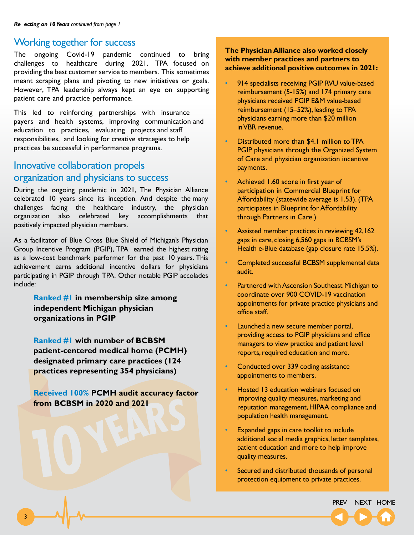### <span id="page-2-0"></span>Working together for success

The ongoing Covid-19 pandemic continued to bring challenges to healthcare during 2021. TPA focused on providing the best customer service to members. This sometimes meant scraping plans and pivoting to new initiatives or goals. However, TPA leadership always kept an eye on supporting patient care and practice performance.

This led to reinforcing partnerships with insurance payers and health systems, improving communication and education to practices, evaluating projects and staff responsibilities, and looking for creative strategies to help practices be successful in performance programs.

### Innovative collaboration propels organization and physicians to success

During the ongoing pandemic in 2021, The Physician Alliance celebrated 10 years since its inception. And despite the many challenges facing the healthcare industry, the physician organization also celebrated key accomplishments that positively impacted physician members.

As a facilitator of Blue Cross Blue Shield of Michigan's Physician Group Incentive Program (PGIP), TPA earned the highest rating as a low-cost benchmark performer for the past 10 years. This achievement earns additional incentive dollars for physicians participating in PGIP through TPA. Other notable PGIP accolades include:

**Ranked #1 in membership size among independent Michigan physician organizations in PGIP**

**Ranked #1 with number of BCBSM patient-centered medical home (PCMH) designated primary care practices (124 practices representing 354 physicians)**

**Received 100% PCMH audit accuracy factor from BCBSM in 2020 and 2021**

**The Physician Alliance also worked closely with member practices and partners to achieve additional positive outcomes in 2021:**

- 914 specialists receiving PGIP RVU value-based reimbursement (5-15%) and 174 primary care physicians received PGIP E&M value-based reimbursement (15–52%), leading toTPA physicians earning more than \$20 million in VBR revenue.
- Distributed more than \$4.1 million to TPA PGIP physicians through the Organized System of Care and physician organization incentive payments.
- Achieved 1.60 score in first year of participation in Commercial Blueprint for Affordability (statewide average is 1.53). (TPA participates in Blueprint for Affordability through Partners in Care.)
- Assisted member practices in reviewing 42,162 gaps in care, closing 6,560 gaps in BCBSM's Health e-Blue database (gap closure rate 15.5%).
- Completed successful BCBSM supplemental data audit.
- Partnered with Ascension Southeast Michigan to coordinate over 900 COVID-19 vaccination appointments for private practice physicians and office staff.
- Launched a new secure member portal, providing access to PGIP physicians and office managers to view practice and patient level reports, required education and more.
- Conducted over 339 coding assistance appointments to members.
- Hosted 13 education webinars focused on improving quality measures, marketing and reputation management, HIPAA compliance and population health management.
- Expanded gaps in care toolkit to include additional social media graphics, letter templates, patient education and more to help improve quality measures.
- Secured and distributed thousands of personal protection equipment to private practices.

[PREV](#page-1-0) NEXT [HOME](#page-0-0)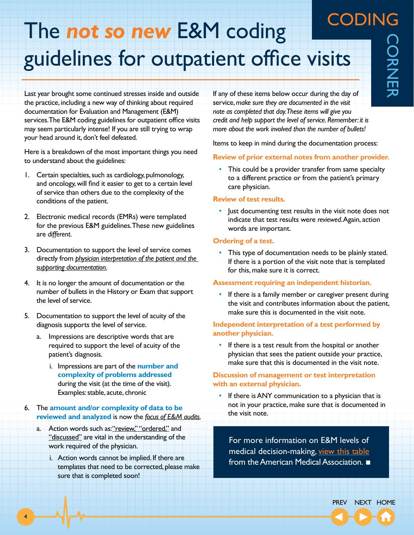## <span id="page-3-0"></span>CODING The *not so new* E&M coding guidelines for outpatient office visits

Last year brought some continued stresses inside and outside the practice, including a new way of thinking about required documentation for Evaluation and Management (E&M) services. The E&M coding guidelines for outpatient office visits may seem particularly intense! If you are still trying to wrap your head around it, don't feel defeated.

Here is a breakdown of the most important things you need to understand about the guidelines:

- 1. Certain specialties, such as cardiology, pulmonology, and oncology, will find it easier to get to a certain level of service than others due to the complexity of the conditions of the patient.
- 2. Electronic medical records (EMRs) were templated for the previous E&M guidelines. These new guidelines are *different*.
- 3. Documentation to support the level of service comes directly from *physician interpretation of the patient and the supporting documentation*.
- 4. It is no longer the amount of documentation or the number of bullets in the History or Exam that support the level of service.
- 5. Documentation to support the level of acuity of the diagnosis supports the level of service.
	- Impressions are descriptive words that are required to support the level of acuity of the patient's diagnosis.
		- i. Impressions are part of the **number and complexity of problems addressed**  during the visit (at the time of the visit). Examples: stable, acute, chronic
- 6. The **amount and/or complexity of data to be reviewed and analyzed** is now the *focus of E&M audits*.
	- a. Action words such as: "review," "ordered," and "discussed" are vital in the understanding of the work required of the physician.

4

i. Action words cannot be implied. If there are templates that need to be corrected, please make sure that is completed soon!

If any of these items below occur during the day of service, *make sure they are documented in the visit note as completed that day. These items will give you credit and help support the level of service. Remember: it is more about the work involved than the number of bullets!*

Items to keep in mind during the documentation process:

#### **Review of prior external notes from another provider.**

• This could be a provider transfer from same specialty to a different practice or from the patient's primary care physician.

#### **Review of test results.**

• Just documenting test results in the visit note does not indicate that test results were *reviewed*. Again, action words are important.

#### **Ordering of a test.**

• This type of documentation needs to be plainly stated. If there is a portion of the visit note that is templated for this, make sure it is correct.

#### **Assessment requiring an independent historian.**

• If there is a family member or caregiver present during the visit and contributes information about the patient, make sure this is documented in the visit note.

#### **Independent interpretation of a test performed by another physician.**

• If there is a test result from the hospital or another physician that sees the patient outside your practice, make sure that this is documented in the visit note.

#### **Discussion of management or test interpretation with an external physician.**

• If there is ANY communication to a physician that is not in your practice, make sure that is documented in the visit note.

For more information on E&M levels of medical decision-making, [view this table](https://thephysicianalliance.org/wp-content/uploads/2021/12/AMA-2021-MDM-Table.pdf) from the American Medical Association.  $\blacksquare$ 

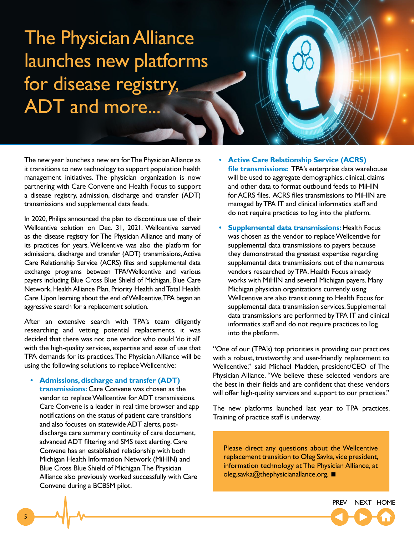# <span id="page-4-0"></span>The Physician Alliance launches new platforms for disease registry, ADT and more...

The new year launches a new era for The Physician Alliance as it transitions to new technology to support population health management initiatives. The physician organization is now partnering with Care Convene and Health Focus to support a disease registry, admission, discharge and transfer (ADT) transmissions and supplemental data feeds.

In 2020, Philips announced the plan to discontinue use of their Wellcentive solution on Dec. 31, 2021. Wellcentive served as the disease registry for The Physician Alliance and many of its practices for years. Wellcentive was also the platform for admissions, discharge and transfer (ADT) transmissions, Active Care Relationship Service (ACRS) files and supplemental data exchange programs between TPA/Wellcentive and various payers including Blue Cross Blue Shield of Michigan, Blue Care Network, Health Alliance Plan, Priority Health and Total Health Care. Upon learning about the end of Wellcentive, TPA began an aggressive search for a replacement solution.

After an extensive search with TPA's team diligently researching and vetting potential replacements, it was decided that there was not one vendor who could 'do it all' with the high-quality services, expertise and ease of use that TPA demands for its practices. The Physician Alliance will be using the following solutions to replace Wellcentive:

**• Admissions, discharge and transfer (ADT)** 

**transmissions:** Care Convene was chosen as the vendor to replace Wellcentive for ADT transmissions. Care Convene is a leader in real time browser and app notifications on the status of patient care transitions and also focuses on statewide ADT alerts, postdischarge care summary continuity of care document, advanced ADT filtering and SMS text alerting. Care Convene has an established relationship with both Michigan Health Information Network (MiHIN) and Blue Cross Blue Shield of Michigan. The Physician Alliance also previously worked successfully with Care Convene during a BCBSM pilot.

- **• Active Care Relationship Service (ACRS) file transmissions:** TPA's enterprise data warehouse will be used to aggregate demographics, clinical, claims and other data to format outbound feeds to MiHIN for ACRS files. ACRS files transmissions to MiHIN are managed by TPA IT and clinical informatics staff and do not require practices to log into the platform.
- **• Supplemental data transmissions:** Health Focus was chosen as the vendor to replace Wellcentive for supplemental data transmissions to payers because they demonstrated the greatest expertise regarding supplemental data transmissions out of the numerous vendors researched by TPA. Health Focus already works with MiHIN and several Michigan payers. Many Michigan physician organizations currently using Wellcentive are also transitioning to Health Focus for supplemental data transmission services. Supplemental data transmissions are performed by TPA IT and clinical informatics staff and do not require practices to log into the platform.

"One of our (TPA's) top priorities is providing our practices with a robust, trustworthy and user-friendly replacement to Wellcentive," said Michael Madden, president/CEO of The Physician Alliance. "We believe these selected vendors are the best in their fields and are confident that these vendors will offer high-quality services and support to our practices."

The new platforms launched last year to TPA practices. Training of practice staff is underway.

Please direct any questions about the Wellcentive replacement transition to Oleg Savka, vice president, information technology at The Physician Alliance, at oleg.savka@thephysicianallance.org. ■

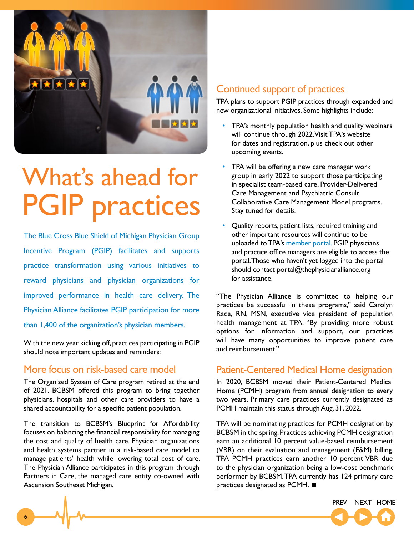<span id="page-5-0"></span>

# What's ahead for PGIP practices

The Blue Cross Blue Shield of Michigan Physician Group Incentive Program (PGIP) facilitates and supports practice transformation using various initiatives to reward physicians and physician organizations for improved performance in health care delivery. The Physician Alliance facilitates PGIP participation for more than 1,400 of the organization's physician members.

With the new year kicking off, practices participating in PGIP should note important updates and reminders:

### More focus on risk-based care model

The Organized System of Care program retired at the end of 2021. BCBSM offered this program to bring together physicians, hospitals and other care providers to have a shared accountability for a specific patient population.

The transition to BCBSM's Blueprint for Affordability focuses on balancing the financial responsibility for managing the cost and quality of health care. Physician organizations and health systems partner in a risk-based care model to manage patients' health while lowering total cost of care. The Physician Alliance participates in this program through Partners in Care, the managed care entity co-owned with Ascension Southeast Michigan.

### Continued support of practices

TPA plans to support PGIP practices through expanded and new organizational initiatives. Some highlights include:

- TPA's monthly population health and quality webinars will continue through 2022. Visit TPA's website for dates and registration, plus check out other upcoming events.
- TPA will be offering a new care manager work group in early 2022 to support those participating in specialist team-based care, Provider-Delivered Care Management and Psychiatric Consult Collaborative Care Management Model programs. Stay tuned for details.
- Quality reports, patient lists, required training and other important resources will continue to be uploaded to TPA's [member portal.](https://secure.tpareporting.org/login) PGIP physicians and practice office managers are eligible to access the portal. Those who haven't yet logged into the portal should contact portal@thephysicianalliance.org for assistance.

"The Physician Alliance is committed to helping our practices be successful in these programs," said Carolyn Rada, RN, MSN, executive vice president of population health management at TPA. "By providing more robust options for information and support, our practices will have many opportunities to improve patient care and reimbursement."

### Patient-Centered Medical Home designation

In 2020, BCBSM moved their Patient-Centered Medical Home (PCMH) program from annual designation to every two years. Primary care practices currently designated as PCMH maintain this status through Aug. 31, 2022.

TPA will be nominating practices for PCMH designation by BCBSM in the spring. Practices achieving PCMH designation earn an additional 10 percent value-based reimbursement (VBR) on their evaluation and management (E&M) billing. TPA PCMH practices earn another 10 percent VBR due to the physician organization being a low-cost benchmark performer by BCBSM. TPA currently has 124 primary care practices designated as PCMH. <

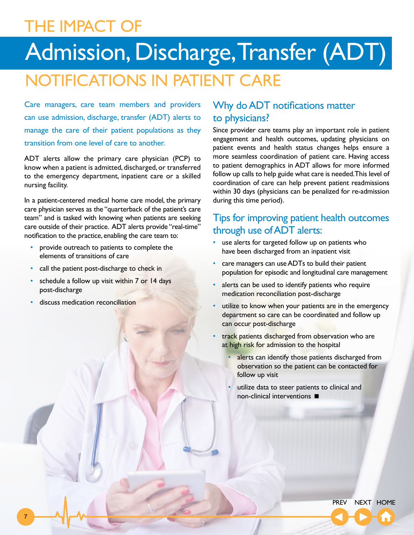## <span id="page-6-0"></span>THE IMPACT OF

# Admission, Discharge, Transfer (ADT)

## NOTIFICATIONS IN PATIENT CARE

Care managers, care team members and providers can use admission, discharge, transfer (ADT) alerts to manage the care of their patient populations as they transition from one level of care to another.

ADT alerts allow the primary care physician (PCP) to know when a patient is admitted, discharged, or transferred to the emergency department, inpatient care or a skilled nursing facility.

In a patient-centered medical home care model, the primary care physician serves as the "quarterback of the patient's care team" and is tasked with knowing when patients are seeking care outside of their practice. ADT alerts provide "real-time" notification to the practice, enabling the care team to:

- provide outreach to patients to complete the elements of transitions of care
- call the patient post-discharge to check in
- schedule a follow up visit within 7 or 14 days post-discharge
- discuss medication reconciliation

7

### Why do ADT notifications matter to physicians?

Since provider care teams play an important role in patient engagement and health outcomes, updating physicians on patient events and health status changes helps ensure a more seamless coordination of patient care. Having access to patient demographics in ADT allows for more informed follow up calls to help guide what care is needed. This level of coordination of care can help prevent patient readmissions within 30 days (physicians can be penalized for re-admission during this time period).

### Tips for improving patient health outcomes through use of ADT alerts:

- use alerts for targeted follow up on patients who have been discharged from an inpatient visit
- care managers can use ADTs to build their patient population for episodic and longitudinal care management
- alerts can be used to identify patients who require medication reconciliation post-discharge
- utilize to know when your patients are in the emergency department so care can be coordinated and follow up can occur post-discharge
- track patients discharged from observation who are at high risk for admission to the hospital
	- alerts can identify those patients discharged from observation so the patient can be contacted for follow up visit
	- utilize data to steer patients to clinical and non-clinical interventions <

[PREV](#page-3-0) [NEXT](#page-7-0) [HOME](#page-0-0)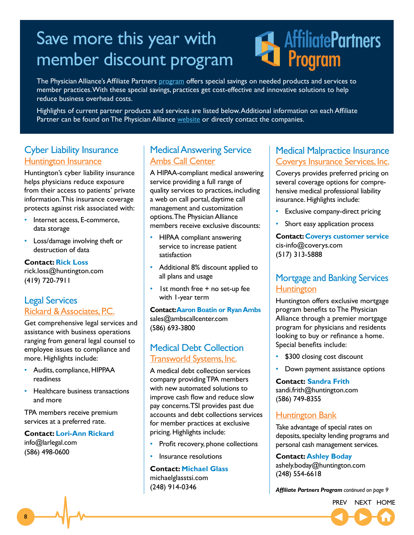# <span id="page-7-0"></span>Save more this year with member discount program

# **AffiliatePartners** Program

The Physician Alliance's Affiliate Partners [program](https://thephysicianalliance.org/affiliate-partners/) offers special savings on needed products and services to member practices. With these special savings, practices get cost-effective and innovative solutions to help reduce business overhead costs.

Highlights of current partner products and services are listed below. Additional information on each Affiliate Partner can be found on The Physician Alliance [website](https://thephysicianalliance.org/affiliate-partners/) or directly contact the companies.

### Cyber Liability Insurance [Huntington Insurance](http://thephysicianalliance.org/index.php/cyber-liability-insurance)

Huntington's cyber liability insurance helps physicians reduce exposure from their access to patients' private information. This insurance coverage protects against risk associated with:

- Internet access, E-commerce, data storage
- Loss/damage involving theft or destruction of data

**Contact: Rick Loss** rick.loss@huntington.com (419) 720-7911

### Legal Services [Rickard & Associates, P.C.](http://thephysicianalliance.org/index.php/legal-services)

Get comprehensive legal services and assistance with business operations ranging from general legal counsel to employee issues to compliance and more. Highlights include:

- Audits, compliance, HIPPAA readiness
- Healthcare business transactions and more

TPA members receive premium services at a preferred rate.

**Contact: Lori-Ann Rickard** [info@larlegal.com](mailto:info@larlegal.com) (586) 498-0600

### Medical Answering Service [Ambs Call Center](http://thephysicianalliance.org/index.php/medical-answering-services)

A HIPAA-compliant medical answering service providing a full range of quality services to practices, including a web on call portal, daytime call management and customization options. The Physician Alliance members receive exclusive discounts:

- HIPAA compliant answering service to increase patient satisfaction
- Additional 8% discount applied to all plans and usage
- Ist month free + no set-up fee with 1-year term

**Contact: Aaron Boatin or Ryan Ambs** sales@ambscallcenter.com (586) 693-3800

### Medical Debt Collection [Transworld Systems, Inc.](http://thephysicianalliance.org/index.php/affiliate-partners/accounts-receivable-collections)

A medical debt collection services company providing TPA members with new automated solutions to improve cash flow and reduce slow pay concerns. TSI provides past due accounts and debt collections services for member practices at exclusive pricing. Highlights include:

- Profit recovery, phone collections
- Insurance resolutions

### **Contact: Michael Glass**

[michaelglasstsi.com](mailto:michaelglasstsi@tsi.com) (248) 914-0346

### Medical Malpractice Insurance [Coverys](https://thephysicianalliance.org/affiliate-partners/medical-malpractice-insurance/) Insurance Services, Inc.

Coverys provides preferred pricing on several coverage options for comprehensive medical professional liability insurance. Highlights include:

- Exclusive company-direct pricing
- Short easy application process

**Contact: Coverys customer service** cis-info@coverys.com (517) 313-5888

### Mortgage and Banking Services **[Huntington](https://thephysicianalliance.org/affiliate-partners/mortgage-program/)**

Huntington offers exclusive mortgage program benefits to The Physician Alliance through a premier mortgage program for physicians and residents looking to buy or refinance a home. Special benefits include:

- \$300 closing cost discount
- Down payment assistance options

**Contact: Sandra Frith** sandi.frith@huntington.com (586) 749-8355

### **[Huntington Bank](https://thephysicianalliance.org/affiliate-partners/mortgage-program/)**

Take advantage of special rates on deposits, specialty lending programs and personal cash management services.

**Contact: Ashley Boday** ashely.boday@huntington.com (248) 554-6618

*Affiliate Partners Program [continued on page](#page-0-0) 9*